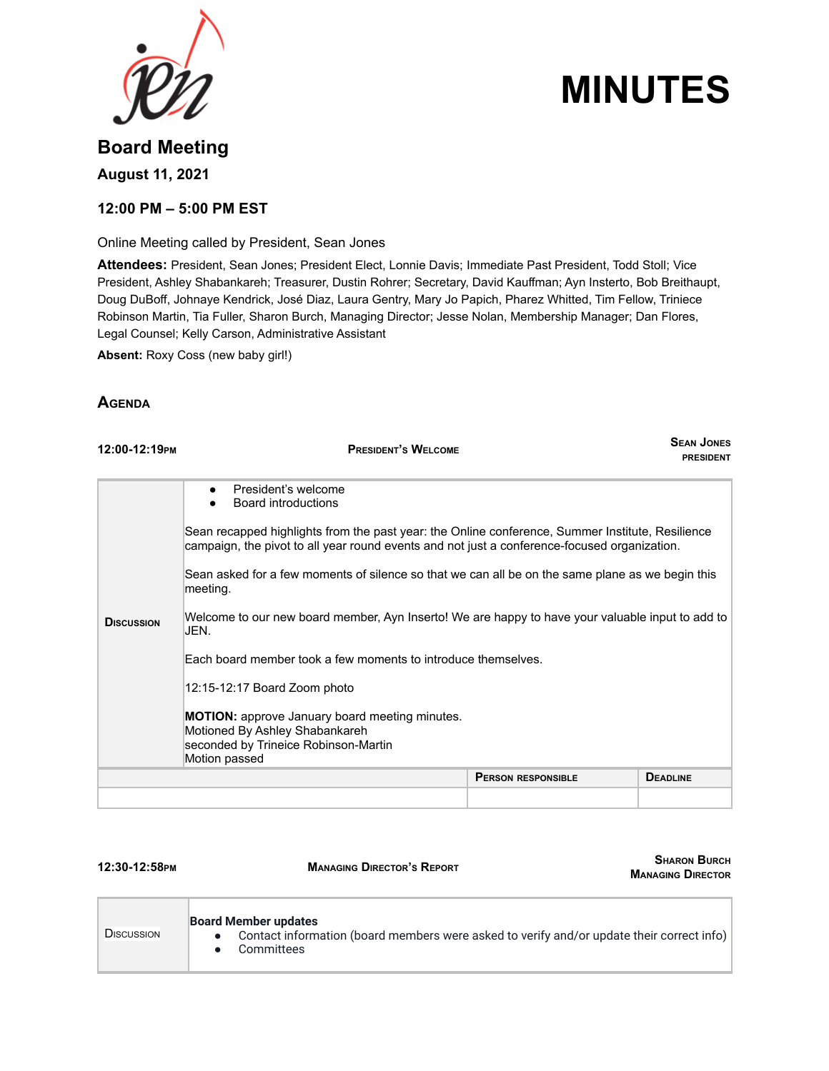

# **MINUTES**

# **Board Meeting August 11, 2021**

## **12:00 PM – 5:00 PM EST**

Online Meeting called by President, Sean Jones

**Attendees:** President, Sean Jones; President Elect, Lonnie Davis; Immediate Past President, Todd Stoll; Vice President, Ashley Shabankareh; Treasurer, Dustin Rohrer; Secretary, David Kauffman; Ayn Insterto, Bob Breithaupt, Doug DuBoff, Johnaye Kendrick, José Diaz, Laura Gentry, Mary Jo Papich, Pharez Whitted, Tim Fellow, Triniece Robinson Martin, Tia Fuller, Sharon Burch, Managing Director; Jesse Nolan, Membership Manager; Dan Flores, Legal Counsel; Kelly Carson, Administrative Assistant

**Absent:** Roxy Coss (new baby girl!)

## **AGENDA**

| 12:00-12:19PM     | <b>PRESIDENT'S WELCOME</b>                                                                                                                                                                       |                           | <b>SEAN JONES</b><br><b>PRESIDENT</b> |  |  |
|-------------------|--------------------------------------------------------------------------------------------------------------------------------------------------------------------------------------------------|---------------------------|---------------------------------------|--|--|
|                   | President's welcome<br>$\bullet$<br>Board introductions                                                                                                                                          |                           |                                       |  |  |
|                   | Sean recapped highlights from the past year: the Online conference, Summer Institute, Resilience<br>campaign, the pivot to all year round events and not just a conference-focused organization. |                           |                                       |  |  |
|                   | Sean asked for a few moments of silence so that we can all be on the same plane as we begin this<br>meeting.                                                                                     |                           |                                       |  |  |
| <b>DISCUSSION</b> | Welcome to our new board member, Ayn Inserto! We are happy to have your valuable input to add to<br>JEN.                                                                                         |                           |                                       |  |  |
|                   | Each board member took a few moments to introduce themselves.                                                                                                                                    |                           |                                       |  |  |
|                   | 12:15-12:17 Board Zoom photo                                                                                                                                                                     |                           |                                       |  |  |
|                   | <b>MOTION:</b> approve January board meeting minutes.<br>Motioned By Ashley Shabankareh<br>seconded by Trineice Robinson-Martin<br>Motion passed                                                 |                           |                                       |  |  |
|                   |                                                                                                                                                                                                  | <b>PERSON RESPONSIBLE</b> | <b>DEADLINE</b>                       |  |  |
|                   |                                                                                                                                                                                                  |                           |                                       |  |  |

**12:30-12:58PM MANAGING DIRECTOR'S REPORT**

**SHARON BURCH MANAGING DIRECTOR**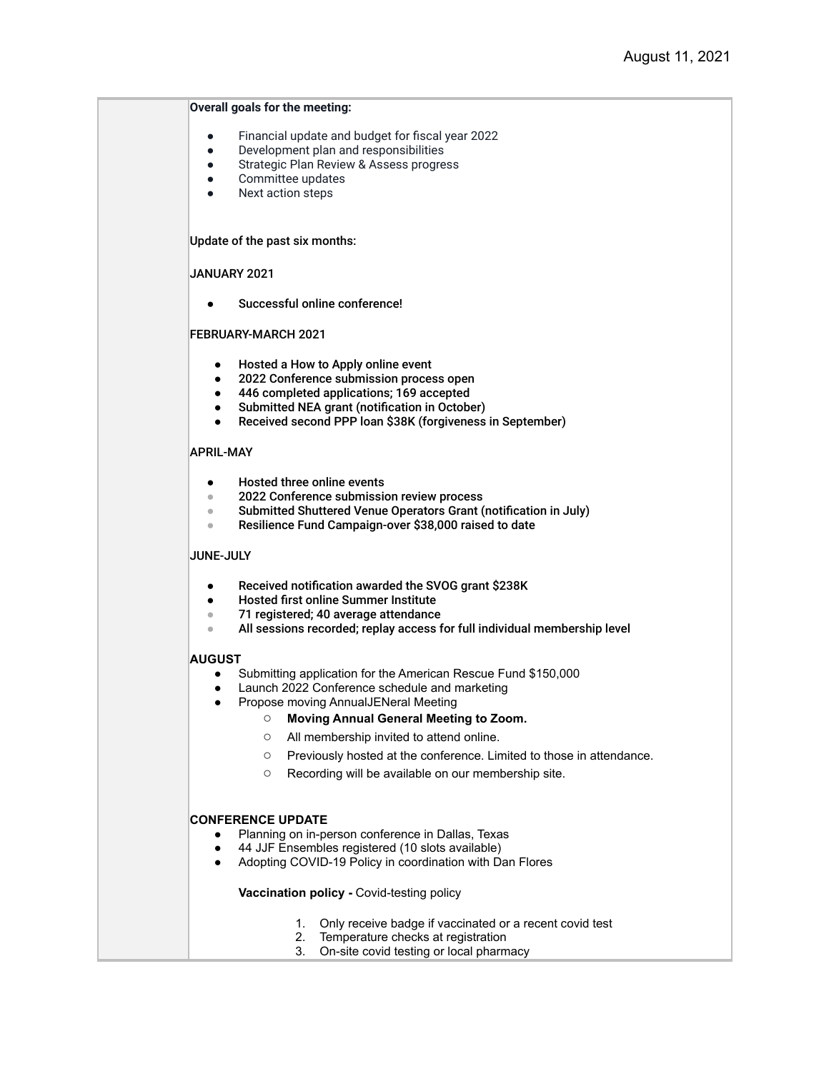#### **Overall goals for the meeting:**

- Financial update and budget for fiscal year 2022
- Development plan and responsibilities
- **•** Strategic Plan Review & Assess progress
- Committee updates
- Next action steps

Update of the past six months:

#### JANUARY 2021

Successful online conference!

#### FEBRUARY-MARCH 2021

- Hosted a How to Apply online event
- 2022 Conference submission process open
- 446 completed applications; 169 accepted
- Submitted NEA grant (notification in October)
- Received second PPP loan \$38K (forgiveness in September)

#### APRIL-MAY

- Hosted three online events
- 2022 Conference submission review process
- Submitted Shuttered Venue Operators Grant (notification in July)
- Resilience Fund Campaign-over \$38,000 raised to date

#### JUNE-JULY

- Received notification awarded the SVOG grant \$238K
- Hosted first online Summer Institute
- 71 registered: 40 average attendance
- All sessions recorded; replay access for full individual membership level

#### **AUGUST**

- Submitting application for the American Rescue Fund \$150,000
- Launch 2022 Conference schedule and marketing
- Propose moving AnnualJENeral Meeting
	- **Moving Annual General Meeting to Zoom.**
	- All membership invited to attend online.
	- Previously hosted at the conference. Limited to those in attendance.
	- Recording will be available on our membership site.

#### **CONFERENCE UPDATE**

- Planning on in-person conference in Dallas, Texas
- 44 JJF Ensembles registered (10 slots available)
- Adopting COVID-19 Policy in coordination with Dan Flores

#### **Vaccination policy -** Covid-testing policy

- 1. Only receive badge if vaccinated or a recent covid test
- 2. Temperature checks at registration
- 3. On-site covid testing or local pharmacy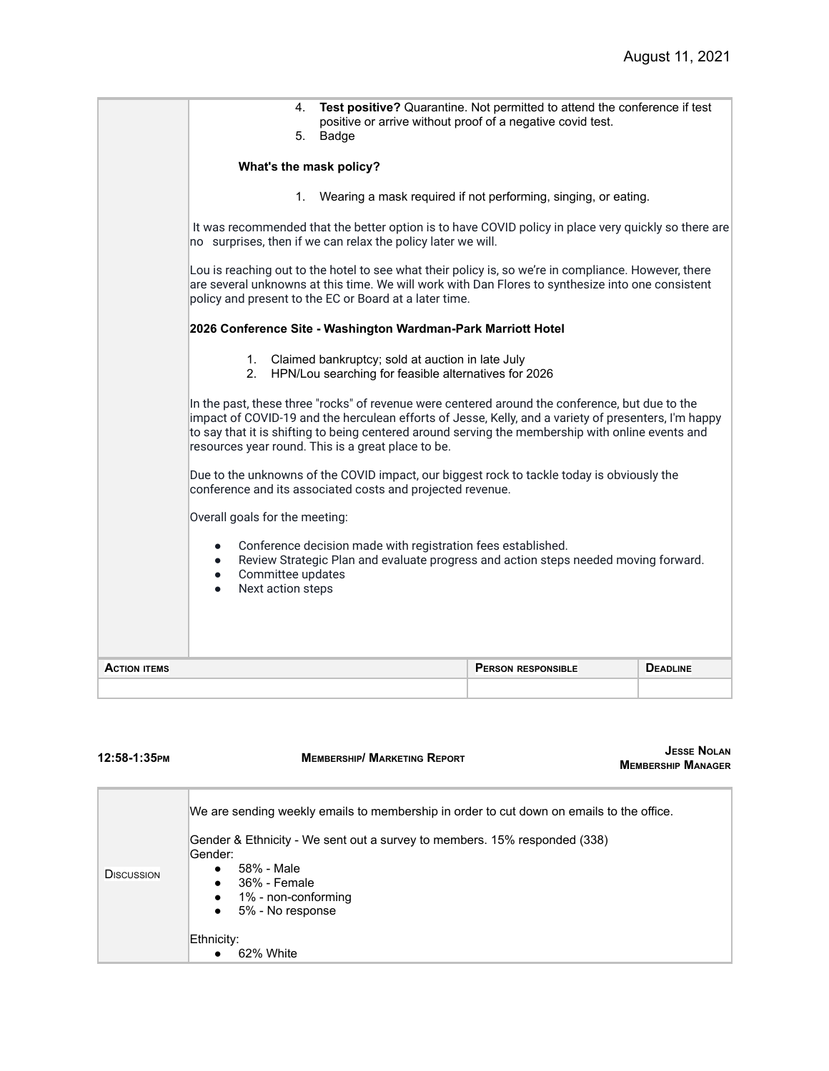| no surprises, then if we can relax the policy later we will.<br>Lou is reaching out to the hotel to see what their policy is, so we're in compliance. However, there<br>are several unknowns at this time. We will work with Dan Flores to synthesize into one consistent<br>policy and present to the EC or Board at a later time.<br>2026 Conference Site - Washington Wardman-Park Marriott Hotel<br>$1_{-}$<br>Claimed bankruptcy; sold at auction in late July<br>2. HPN/Lou searching for feasible alternatives for 2026<br>In the past, these three "rocks" of revenue were centered around the conference, but due to the<br>impact of COVID-19 and the herculean efforts of Jesse, Kelly, and a variety of presenters, I'm happy<br>to say that it is shifting to being centered around serving the membership with online events and<br>resources year round. This is a great place to be.<br>Due to the unknowns of the COVID impact, our biggest rock to tackle today is obviously the<br>conference and its associated costs and projected revenue.<br>Overall goals for the meeting: |
|----------------------------------------------------------------------------------------------------------------------------------------------------------------------------------------------------------------------------------------------------------------------------------------------------------------------------------------------------------------------------------------------------------------------------------------------------------------------------------------------------------------------------------------------------------------------------------------------------------------------------------------------------------------------------------------------------------------------------------------------------------------------------------------------------------------------------------------------------------------------------------------------------------------------------------------------------------------------------------------------------------------------------------------------------------------------------------------------------|
| Wearing a mask required if not performing, singing, or eating.<br>1.<br>It was recommended that the better option is to have COVID policy in place very quickly so there are                                                                                                                                                                                                                                                                                                                                                                                                                                                                                                                                                                                                                                                                                                                                                                                                                                                                                                                       |
| Test positive? Quarantine. Not permitted to attend the conference if test<br>4.<br>positive or arrive without proof of a negative covid test.<br>5.<br>Badge<br>What's the mask policy?                                                                                                                                                                                                                                                                                                                                                                                                                                                                                                                                                                                                                                                                                                                                                                                                                                                                                                            |

| 12:58-1:35PM      | <b>MEMBERSHIP/ MARKETING REPORT</b>                                                                                                                                                                                                                                                                         | <b>JESSE NOLAN</b><br><b>MEMBERSHIP MANAGER</b> |
|-------------------|-------------------------------------------------------------------------------------------------------------------------------------------------------------------------------------------------------------------------------------------------------------------------------------------------------------|-------------------------------------------------|
| <b>DISCUSSION</b> | We are sending weekly emails to membership in order to cut down on emails to the office.<br>Gender & Ethnicity - We sent out a survey to members. 15% responded (338)<br>Gender:<br>58% - Male<br>$\bullet$ 36% - Female<br>1% - non-conforming<br>5% - No response<br>$\bullet$<br>Ethnicity:<br>62% White |                                                 |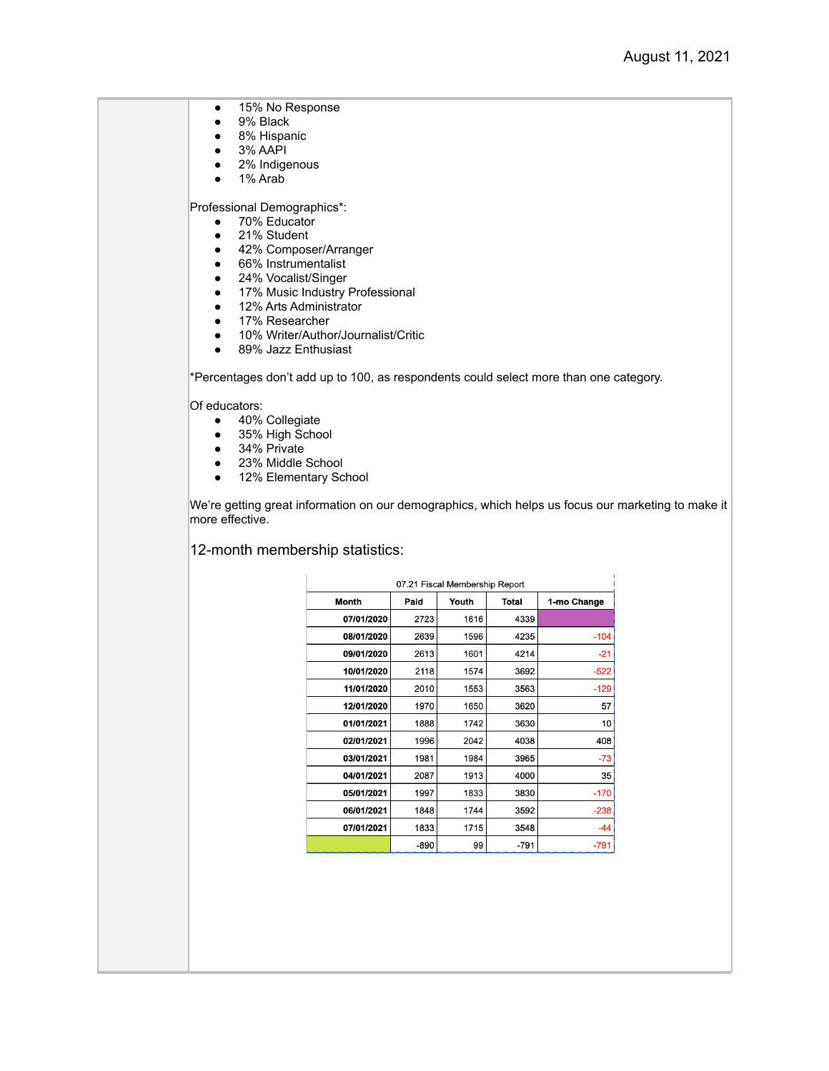● 15% No Response

- 9% Black
- 8% Hispanic
- 3% AAPI
- 2% Indigenous
- 1% Arab

Professional Demographics\*:

- 70% Educator
- 21% Student
- 42% Composer/Arranger
- 66% Instrumentalist
- 24% Vocalist/Singer
- 17% Music Industry Professional
- 12% Arts Administrator
- 17% Researcher
- 10% Writer/Author/Journalist/Critic
- 89% Jazz Enthusiast

\*Percentages don't add up to 100, as respondents could select more than one category.

Of educators:

- 40% Collegiate<br>● 35% High Scho
- 35% High School
- 34% Private
- 23% Middle School
- 12% Elementary School

We're getting great information on our demographics, which helps us focus our marketing to make it more effective.

12-month membership statistics:

| 07.21 Fiscal Membership Report |      |      |              |             |  |  |
|--------------------------------|------|------|--------------|-------------|--|--|
| Month                          | Paid |      | <b>Total</b> | 1-mo Change |  |  |
| 07/01/2020                     | 2723 | 1616 | 4339         |             |  |  |
| 08/01/2020                     | 2639 | 1596 | 4235         | $-104$      |  |  |
| 09/01/2020                     | 2613 | 1601 | 4214         | $-21$       |  |  |
| 10/01/2020                     | 2118 | 1574 | 3692         | $-522$      |  |  |
| 11/01/2020                     | 2010 | 1553 | 3563         | $-129$      |  |  |
| 12/01/2020                     | 1970 | 1650 | 3620         | 57          |  |  |
| 01/01/2021                     | 1888 | 1742 | 3630         | 10          |  |  |
| 02/01/2021                     | 1996 | 2042 | 4038         | 408         |  |  |
| 03/01/2021                     | 1981 | 1984 | 3965         | $-73$       |  |  |
| 04/01/2021                     | 2087 | 1913 | 4000         | 35          |  |  |
| 05/01/2021                     | 1997 | 1833 | 3830         | $-170$      |  |  |
| 06/01/2021                     | 1848 | 1744 | 3592         | $-238$      |  |  |
| 07/01/2021                     | 1833 | 1715 | 3548         | $-44$       |  |  |
|                                | -890 | 99   | -791         | $-791$      |  |  |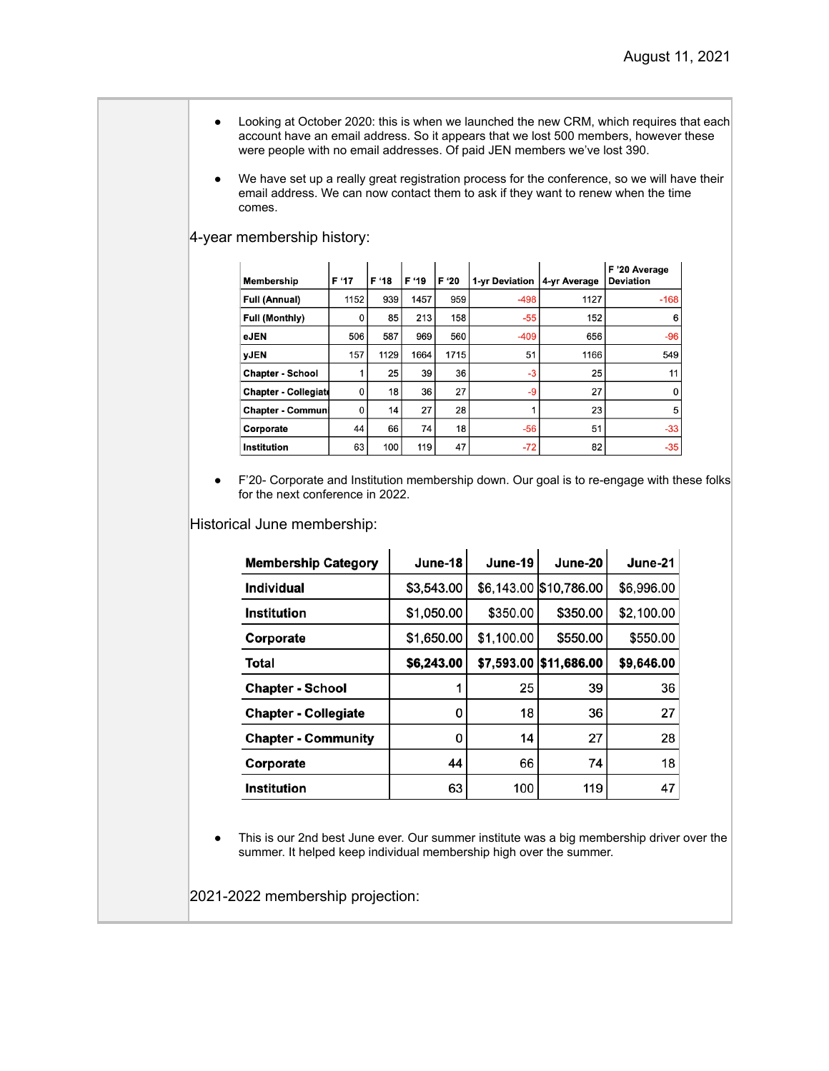- Looking at October 2020: this is when we launched the new CRM, which requires that each account have an email address. So it appears that we lost 500 members, however these were people with no email addresses. Of paid JEN members we've lost 390.
- We have set up a really great registration process for the conference, so we will have their email address. We can now contact them to ask if they want to renew when the time comes.

### 4-year membership history:

| Membership                  | F '17 | F '18 | F '19 | F '20 | 1-yr Deviation | 4-yr Average | F '20 Average<br><b>Deviation</b> |
|-----------------------------|-------|-------|-------|-------|----------------|--------------|-----------------------------------|
| <b>Full (Annual)</b>        | 1152  | 939   | 1457  | 959   | $-498$         | 1127         | $-168$                            |
| <b>Full (Monthly)</b>       | 0     | 85    | 213   | 158   | $-55$          | 152          | 6                                 |
| eJEN                        | 506   | 587   | 969   | 560   | $-409$         | 656          | $-96$                             |
| <b>VJEN</b>                 | 157   | 1129  | 1664  | 1715  | 51             | 1166         | 549                               |
| <b>Chapter - School</b>     |       | 25    | 39    | 36    | $-3$           | 25           | 11                                |
| <b>Chapter - Collegiate</b> | 0     | 18    | 36    | 27    | -9             | 27           | $\mathbf 0$                       |
| <b>Chapter - Communi</b>    | 0     | 14    | 27    | 28    |                | 23           | 5                                 |
| Corporate                   | 44    | 66    | 74    | 18    | $-56$          | 51           | $-33$                             |
| <b>Institution</b>          | 63    | 100   | 119   | 47    | $-72$          | 82           | $-35$                             |

● F'20- Corporate and Institution membership down. Our goal is to re-engage with these folks for the next conference in 2022.

Historical June membership:

| <b>Membership Category</b>  | June-18    | June-19    | June-20                | June-21    |
|-----------------------------|------------|------------|------------------------|------------|
| Individual                  | \$3,543.00 |            | \$6,143.00 \$10,786.00 | \$6,996.00 |
| <b>Institution</b>          | \$1,050.00 | \$350.00   | \$350.00               | \$2,100.00 |
| Corporate                   | \$1,650.00 | \$1,100.00 | \$550.00               | \$550.00   |
| Total                       | \$6,243.00 | \$7,593.00 | \$11,686.00            | \$9,646.00 |
| <b>Chapter - School</b>     |            | 25         | 39                     | 36         |
| <b>Chapter - Collegiate</b> | 0          | 18         | 36                     | 27         |
| <b>Chapter - Community</b>  | 0          | 14         | 27                     | 28         |
| Corporate                   | 44         | 66         | 74                     | 18         |
| <b>Institution</b>          | 63         | 100        | 119                    | 47         |

● This is our 2nd best June ever. Our summer institute was a big membership driver over the summer. It helped keep individual membership high over the summer.

2021-2022 membership projection: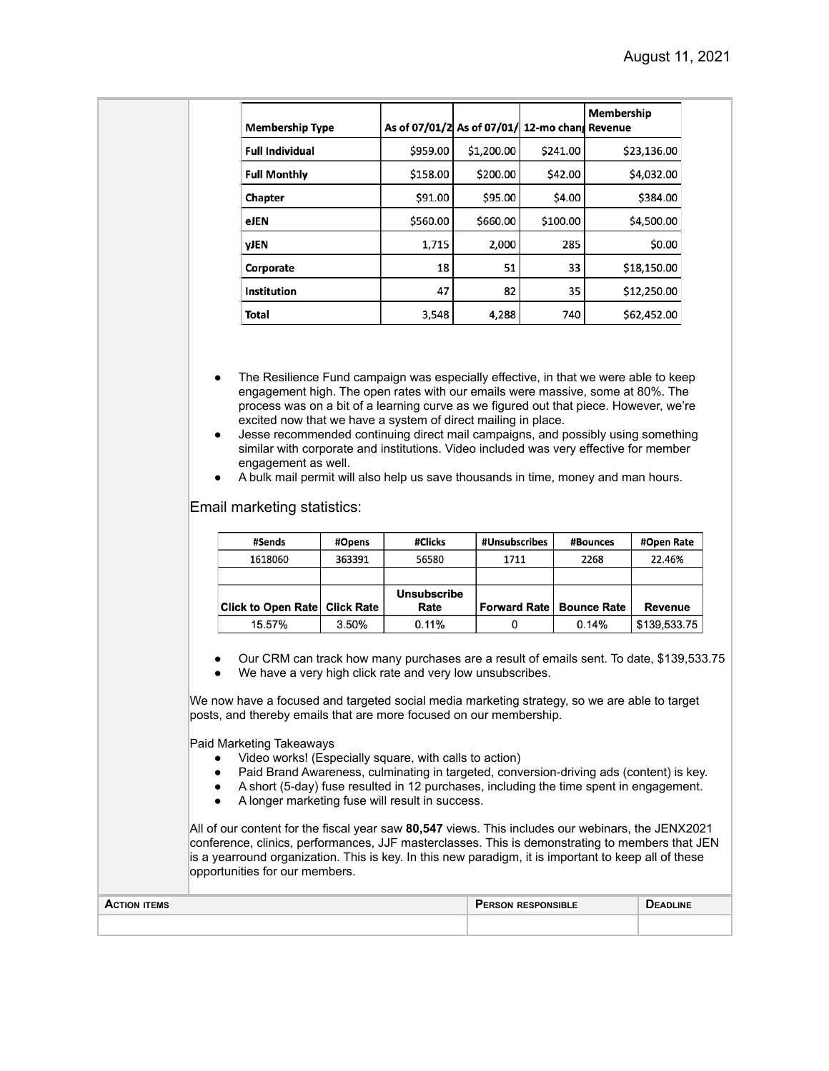| <b>Membership Type</b> | As of 07/01/2 As of 07/01/ 12-mo chang Revenue |            |          | Membership  |
|------------------------|------------------------------------------------|------------|----------|-------------|
| <b>Full Individual</b> | \$959.00                                       | \$1,200.00 | \$241.00 | \$23,136.00 |
| <b>Full Monthly</b>    | \$158.00                                       | \$200.00   | \$42.00  | \$4,032.00  |
| Chapter                | \$91.00                                        | \$95.00    | \$4.00   | \$384.00    |
| eJEN                   | \$560.00                                       | \$660.00   | \$100.00 | \$4,500.00  |
| <b>VJEN</b>            | 1,715                                          | 2,000      | 285      | \$0.00      |
| Corporate              | 18                                             | 51         | 33       | \$18,150.00 |
| Institution            | 47                                             | 82         | 35       | \$12,250.00 |
| <b>Total</b>           | 3,548                                          | 4,288      | 740      | \$62,452.00 |

- The Resilience Fund campaign was especially effective, in that we were able to keep engagement high. The open rates with our emails were massive, some at 80%. The process was on a bit of a learning curve as we figured out that piece. However, we're excited now that we have a system of direct mailing in place.
- Jesse recommended continuing direct mail campaigns, and possibly using something similar with corporate and institutions. Video included was very effective for member engagement as well.
- A bulk mail permit will also help us save thousands in time, money and man hours.

Email marketing statistics:

| #Sends                        | #Opens | #Clicks            | #Unsubscribes       | #Bounces           | #Open Rate   |
|-------------------------------|--------|--------------------|---------------------|--------------------|--------------|
| 1618060                       | 363391 | 56580              | 1711                | 2268               | 22.46%       |
|                               |        |                    |                     |                    |              |
|                               |        | <b>Unsubscribe</b> |                     |                    |              |
| Click to Open Rate Click Rate |        | Rate               | <b>Forward Rate</b> | <b>Bounce Rate</b> | Revenue      |
| 15.57%                        | 3.50%  | 0.11%              |                     | 0.14%              | \$139,533.75 |

- Our CRM can track how many purchases are a result of emails sent. To date, \$139,533.75
- We have a very high click rate and very low unsubscribes.

We now have a focused and targeted social media marketing strategy, so we are able to target posts, and thereby emails that are more focused on our membership.

Paid Marketing Takeaways

- Video works! (Especially square, with calls to action)
- Paid Brand Awareness, culminating in targeted, conversion-driving ads (content) is key.
- A short (5-day) fuse resulted in 12 purchases, including the time spent in engagement.
- A longer marketing fuse will result in success.

All of our content for the fiscal year saw **80,547** views. This includes our webinars, the JENX2021 conference, clinics, performances, JJF masterclasses. This is demonstrating to members that JEN is a yearround organization. This is key. In this new paradigm, it is important to keep all of these opportunities for our members.

| <b>ACTION ITEMS</b> | <b>PERSON RESPONSIBLE</b> | <b>DEADLINE</b> |
|---------------------|---------------------------|-----------------|
|                     |                           |                 |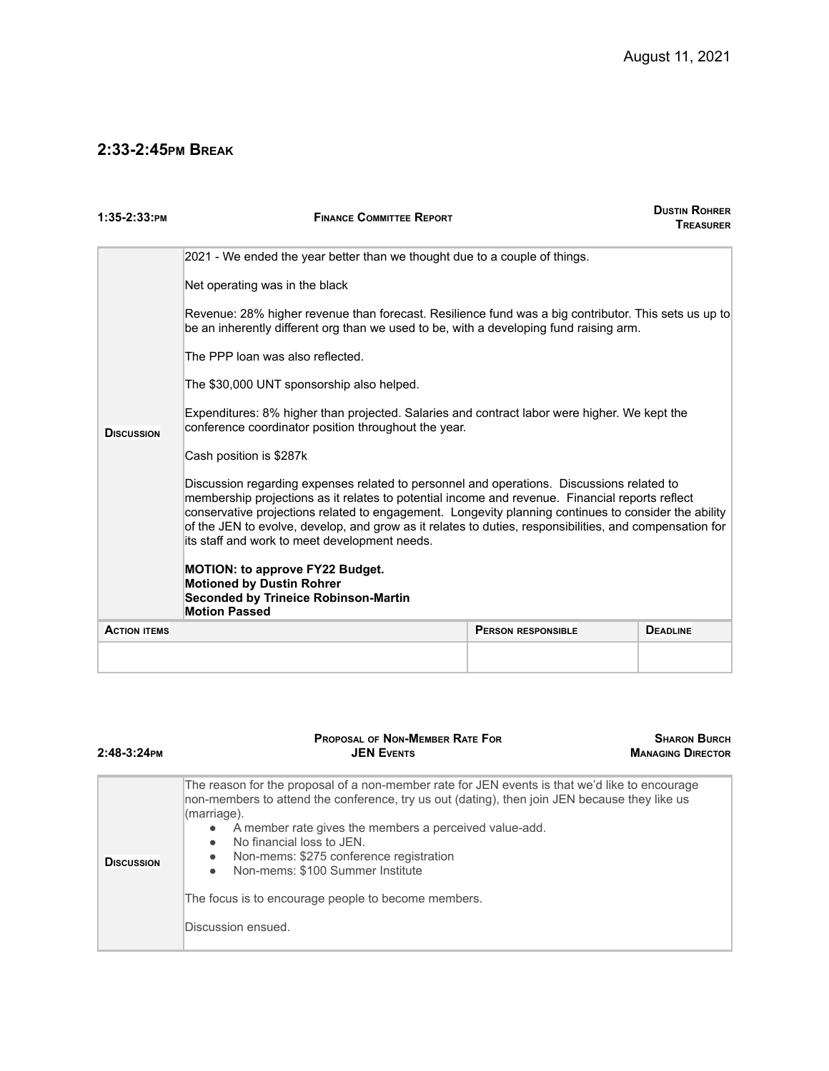## **2:33-2:45PM BREAK**

| 1:35-2:33:PM        | <b>DUSTIN ROHRER</b><br><b>FINANCE COMMITTEE REPORT</b><br><b>TREASURER</b>                                                                                                                                                                                                                                                                                                                                                                                      |                           |                 |  |  |
|---------------------|------------------------------------------------------------------------------------------------------------------------------------------------------------------------------------------------------------------------------------------------------------------------------------------------------------------------------------------------------------------------------------------------------------------------------------------------------------------|---------------------------|-----------------|--|--|
|                     | 2021 - We ended the year better than we thought due to a couple of things.                                                                                                                                                                                                                                                                                                                                                                                       |                           |                 |  |  |
|                     | Net operating was in the black                                                                                                                                                                                                                                                                                                                                                                                                                                   |                           |                 |  |  |
|                     | Revenue: 28% higher revenue than forecast. Resilience fund was a big contributor. This sets us up to<br>be an inherently different org than we used to be, with a developing fund raising arm.                                                                                                                                                                                                                                                                   |                           |                 |  |  |
|                     | The PPP loan was also reflected.                                                                                                                                                                                                                                                                                                                                                                                                                                 |                           |                 |  |  |
|                     | The \$30,000 UNT sponsorship also helped.                                                                                                                                                                                                                                                                                                                                                                                                                        |                           |                 |  |  |
| <b>DISCUSSION</b>   | Expenditures: 8% higher than projected. Salaries and contract labor were higher. We kept the<br>conference coordinator position throughout the year.                                                                                                                                                                                                                                                                                                             |                           |                 |  |  |
|                     | Cash position is \$287k                                                                                                                                                                                                                                                                                                                                                                                                                                          |                           |                 |  |  |
|                     | Discussion regarding expenses related to personnel and operations. Discussions related to<br>membership projections as it relates to potential income and revenue. Financial reports reflect<br>conservative projections related to engagement. Longevity planning continues to consider the ability<br>of the JEN to evolve, develop, and grow as it relates to duties, responsibilities, and compensation for<br>its staff and work to meet development needs. |                           |                 |  |  |
|                     | <b>MOTION: to approve FY22 Budget.</b><br><b>Motioned by Dustin Rohrer</b><br><b>Seconded by Trineice Robinson-Martin</b><br><b>Motion Passed</b>                                                                                                                                                                                                                                                                                                                |                           |                 |  |  |
| <b>ACTION ITEMS</b> |                                                                                                                                                                                                                                                                                                                                                                                                                                                                  | <b>PERSON RESPONSIBLE</b> | <b>DEADLINE</b> |  |  |
|                     |                                                                                                                                                                                                                                                                                                                                                                                                                                                                  |                           |                 |  |  |

| $2:48-3:24$ PM    | <b>PROPOSAL OF NON-MEMBER RATE FOR</b><br><b>JEN EVENTS</b>                                                                                                                                                                                                                                                                                                                                                                                                                                                           | <b>SHARON BURCH</b><br><b>MANAGING DIRECTOR</b> |
|-------------------|-----------------------------------------------------------------------------------------------------------------------------------------------------------------------------------------------------------------------------------------------------------------------------------------------------------------------------------------------------------------------------------------------------------------------------------------------------------------------------------------------------------------------|-------------------------------------------------|
| <b>DISCUSSION</b> | The reason for the proposal of a non-member rate for JEN events is that we'd like to encourage<br>non-members to attend the conference, try us out (dating), then join JEN because they like us<br>(marriage).<br>A member rate gives the members a perceived value-add.<br>$\bullet$<br>No financial loss to JEN.<br>$\bullet$<br>Non-mems: \$275 conference registration<br>$\bullet$<br>Non-mems: \$100 Summer Institute<br>$\bullet$<br>The focus is to encourage people to become members.<br>Discussion ensued. |                                                 |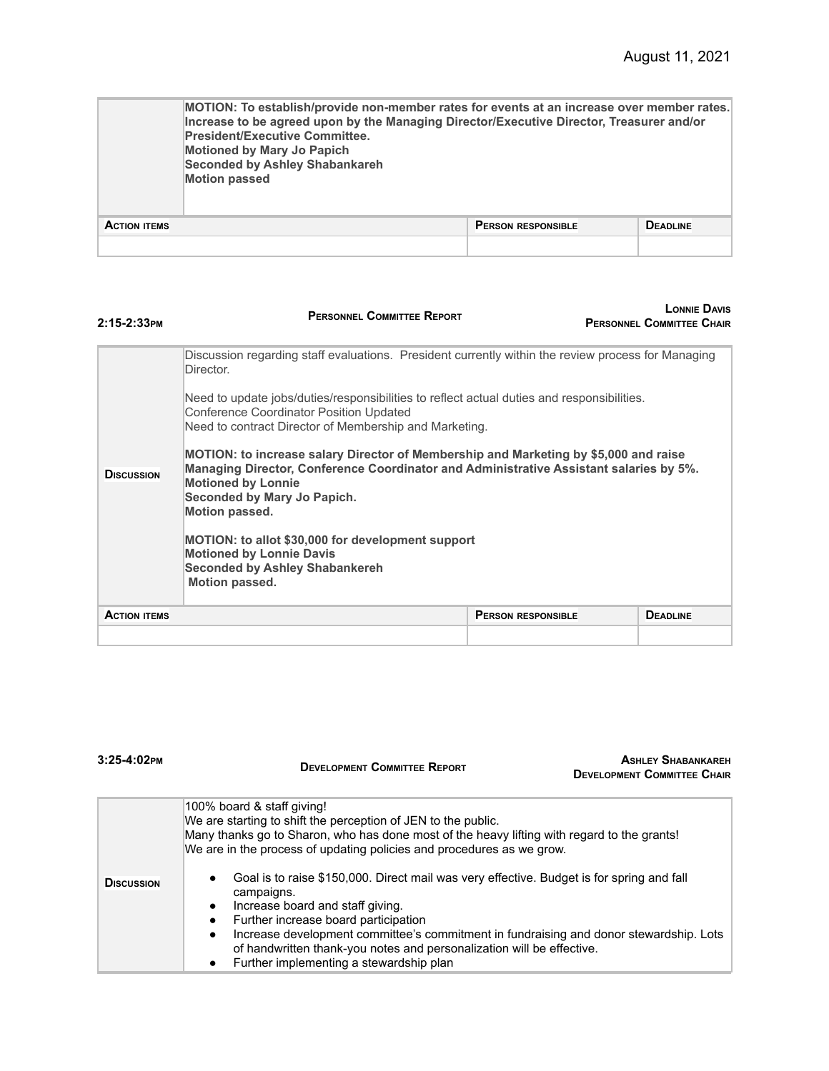|                     | MOTION: To establish/provide non-member rates for events at an increase over member rates.<br>Increase to be agreed upon by the Managing Director/Executive Director, Treasurer and/or<br><b>President/Executive Committee.</b><br><b>Motioned by Mary Jo Papich</b><br><b>Seconded by Ashley Shabankareh</b><br><b>Motion passed</b> |                           |                 |
|---------------------|---------------------------------------------------------------------------------------------------------------------------------------------------------------------------------------------------------------------------------------------------------------------------------------------------------------------------------------|---------------------------|-----------------|
| <b>ACTION ITEMS</b> |                                                                                                                                                                                                                                                                                                                                       | <b>PERSON RESPONSIBLE</b> | <b>DEADLINE</b> |
|                     |                                                                                                                                                                                                                                                                                                                                       |                           |                 |

| $2:15-2:33$ PM      | <b>PERSONNEL COMMITTEE REPORT</b>                                                                                                                                                                                                                                                                                                                                                                                                                                                                                                                                                                                                                                                                                                            |                           | LONNIF DAVIS<br><b>PERSONNEL COMMITTEE CHAIR</b> |
|---------------------|----------------------------------------------------------------------------------------------------------------------------------------------------------------------------------------------------------------------------------------------------------------------------------------------------------------------------------------------------------------------------------------------------------------------------------------------------------------------------------------------------------------------------------------------------------------------------------------------------------------------------------------------------------------------------------------------------------------------------------------------|---------------------------|--------------------------------------------------|
| <b>DISCUSSION</b>   | Discussion regarding staff evaluations. President currently within the review process for Managing<br>Director.<br>Need to update jobs/duties/responsibilities to reflect actual duties and responsibilities.<br>Conference Coordinator Position Updated<br>Need to contract Director of Membership and Marketing.<br>MOTION: to increase salary Director of Membership and Marketing by \$5,000 and raise<br>Managing Director, Conference Coordinator and Administrative Assistant salaries by 5%.<br><b>Motioned by Lonnie</b><br>Seconded by Mary Jo Papich.<br><b>Motion passed.</b><br>MOTION: to allot \$30,000 for development support<br><b>Motioned by Lonnie Davis</b><br><b>Seconded by Ashley Shabankereh</b><br>Motion passed. |                           |                                                  |
| <b>ACTION ITEMS</b> |                                                                                                                                                                                                                                                                                                                                                                                                                                                                                                                                                                                                                                                                                                                                              | <b>PERSON RESPONSIBLE</b> | <b>DEADLINE</b>                                  |
|                     |                                                                                                                                                                                                                                                                                                                                                                                                                                                                                                                                                                                                                                                                                                                                              |                           |                                                  |

| $3:25-4:02$ PM    | <b>DEVELOPMENT COMMITTEE REPORT</b>                                                                                                                                                                                                                                                                                                                                                                                                                                                                                                                                                                                                                                                                             | <b>ASHLEY SHABANKAREH</b><br><b>DEVELOPMENT COMMITTEE CHAIR</b> |
|-------------------|-----------------------------------------------------------------------------------------------------------------------------------------------------------------------------------------------------------------------------------------------------------------------------------------------------------------------------------------------------------------------------------------------------------------------------------------------------------------------------------------------------------------------------------------------------------------------------------------------------------------------------------------------------------------------------------------------------------------|-----------------------------------------------------------------|
| <b>DISCUSSION</b> | 100% board & staff giving!<br>We are starting to shift the perception of JEN to the public.<br>Many thanks go to Sharon, who has done most of the heavy lifting with regard to the grants!<br>We are in the process of updating policies and procedures as we grow.<br>Goal is to raise \$150,000. Direct mail was very effective. Budget is for spring and fall<br>campaigns.<br>Increase board and staff giving.<br>$\bullet$<br>Further increase board participation<br>$\bullet$<br>Increase development committee's commitment in fundraising and donor stewardship. Lots<br>$\bullet$<br>of handwritten thank-you notes and personalization will be effective.<br>Further implementing a stewardship plan |                                                                 |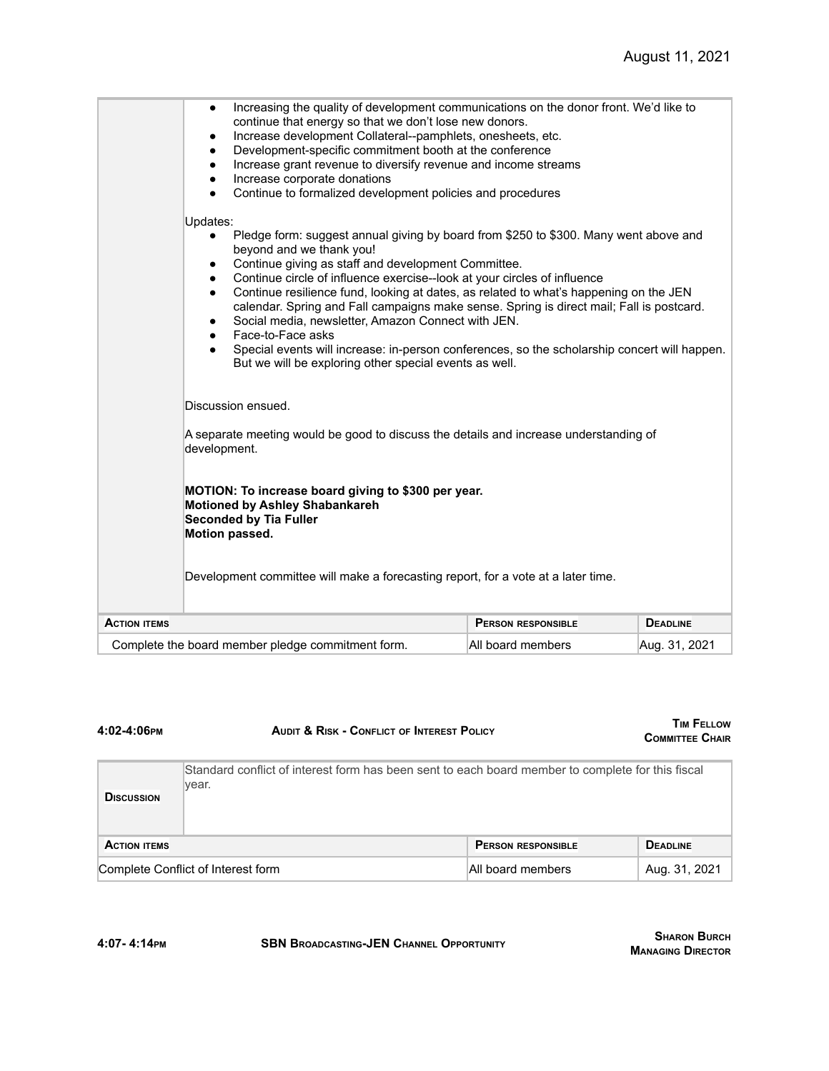|                     | Increasing the quality of development communications on the donor front. We'd like to<br>٠<br>continue that energy so that we don't lose new donors.<br>Increase development Collateral--pamphlets, onesheets, etc.<br>٠<br>Development-specific commitment booth at the conference<br>Increase grant revenue to diversify revenue and income streams<br>٠<br>Increase corporate donations<br>Continue to formalized development policies and procedures                                                                                                                                                                                                                                                                 |                           |                 |
|---------------------|--------------------------------------------------------------------------------------------------------------------------------------------------------------------------------------------------------------------------------------------------------------------------------------------------------------------------------------------------------------------------------------------------------------------------------------------------------------------------------------------------------------------------------------------------------------------------------------------------------------------------------------------------------------------------------------------------------------------------|---------------------------|-----------------|
|                     | Updates:<br>Pledge form: suggest annual giving by board from \$250 to \$300. Many went above and<br>beyond and we thank you!<br>Continue giving as staff and development Committee.<br>٠<br>Continue circle of influence exercise--look at your circles of influence<br>$\bullet$<br>Continue resilience fund, looking at dates, as related to what's happening on the JEN<br>$\bullet$<br>calendar. Spring and Fall campaigns make sense. Spring is direct mail; Fall is postcard.<br>Social media, newsletter, Amazon Connect with JEN.<br>Face-to-Face asks<br>Special events will increase: in-person conferences, so the scholarship concert will happen.<br>But we will be exploring other special events as well. |                           |                 |
|                     | Discussion ensued.<br>A separate meeting would be good to discuss the details and increase understanding of<br>development.                                                                                                                                                                                                                                                                                                                                                                                                                                                                                                                                                                                              |                           |                 |
|                     | MOTION: To increase board giving to \$300 per year.<br><b>Motioned by Ashley Shabankareh</b><br><b>Seconded by Tia Fuller</b><br>Motion passed.                                                                                                                                                                                                                                                                                                                                                                                                                                                                                                                                                                          |                           |                 |
|                     | Development committee will make a forecasting report, for a vote at a later time.                                                                                                                                                                                                                                                                                                                                                                                                                                                                                                                                                                                                                                        |                           |                 |
| <b>ACTION ITEMS</b> |                                                                                                                                                                                                                                                                                                                                                                                                                                                                                                                                                                                                                                                                                                                          | <b>PERSON RESPONSIBLE</b> | <b>DEADLINE</b> |
|                     | Complete the board member pledge commitment form.                                                                                                                                                                                                                                                                                                                                                                                                                                                                                                                                                                                                                                                                        | All board members         | Aug. 31, 2021   |

| 4:02-4:06 РМ        | <b>AUDIT &amp; RISK - CONFLICT OF INTEREST POLICY</b>                                                      |                           | <b>TIM FELLOW</b><br><b>COMMITTEE CHAIR</b> |
|---------------------|------------------------------------------------------------------------------------------------------------|---------------------------|---------------------------------------------|
| <b>DISCUSSION</b>   | Standard conflict of interest form has been sent to each board member to complete for this fiscal<br>year. |                           |                                             |
| <b>ACTION ITEMS</b> |                                                                                                            | <b>PERSON RESPONSIBLE</b> | <b>DEADLINE</b>                             |
|                     | Complete Conflict of Interest form<br>All board members                                                    |                           | Aug. 31, 2021                               |

**4:07- 4:14PM SBN BROADCASTING-JEN CHANNEL OPPORTUNITY**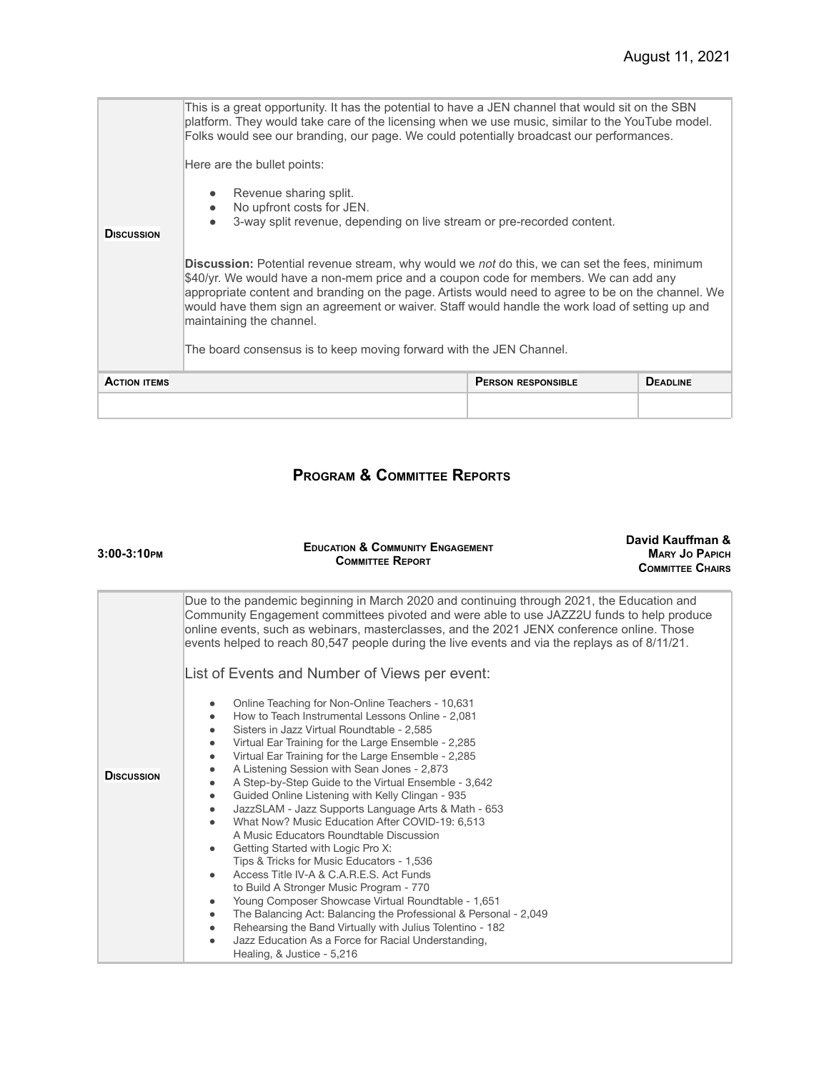| <b>DISCUSSION</b>   | platform. They would take care of the licensing when we use music, similar to the YouTube model.<br>Folks would see our branding, our page. We could potentially broadcast our performances.<br>Here are the bullet points:<br>Revenue sharing split.<br>$\bullet$<br>No upfront costs for JEN.<br>$\bullet$<br>3-way split revenue, depending on live stream or pre-recorded content.<br><b>Discussion:</b> Potential revenue stream, why would we not do this, we can set the fees, minimum<br>\$40/yr. We would have a non-mem price and a coupon code for members. We can add any<br>appropriate content and branding on the page. Artists would need to agree to be on the channel. We |                           |                 |
|---------------------|---------------------------------------------------------------------------------------------------------------------------------------------------------------------------------------------------------------------------------------------------------------------------------------------------------------------------------------------------------------------------------------------------------------------------------------------------------------------------------------------------------------------------------------------------------------------------------------------------------------------------------------------------------------------------------------------|---------------------------|-----------------|
|                     | would have them sign an agreement or waiver. Staff would handle the work load of setting up and<br>maintaining the channel.<br>The board consensus is to keep moving forward with the JEN Channel.                                                                                                                                                                                                                                                                                                                                                                                                                                                                                          |                           |                 |
| <b>ACTION ITEMS</b> |                                                                                                                                                                                                                                                                                                                                                                                                                                                                                                                                                                                                                                                                                             | <b>PERSON RESPONSIBLE</b> | <b>DEADLINE</b> |
|                     |                                                                                                                                                                                                                                                                                                                                                                                                                                                                                                                                                                                                                                                                                             |                           |                 |

# **PROGRAM & COMMITTEE REPORTS**

| $3:00-3:10$ PM    | David Kauffman &<br><b>EDUCATION &amp; COMMUNITY ENGAGEMENT</b><br><b>MARY JO PAPICH</b><br><b>COMMITTEE REPORT</b><br><b>COMMITTEE CHAIRS</b>                                                                                                                                                                                                                                                                                                                                                                                                                                                                                                                                                                                                                                                                                                                                                                                                                                                                                                                                                                                                                                                                                                                                                                                                                                                                                                                               |  |
|-------------------|------------------------------------------------------------------------------------------------------------------------------------------------------------------------------------------------------------------------------------------------------------------------------------------------------------------------------------------------------------------------------------------------------------------------------------------------------------------------------------------------------------------------------------------------------------------------------------------------------------------------------------------------------------------------------------------------------------------------------------------------------------------------------------------------------------------------------------------------------------------------------------------------------------------------------------------------------------------------------------------------------------------------------------------------------------------------------------------------------------------------------------------------------------------------------------------------------------------------------------------------------------------------------------------------------------------------------------------------------------------------------------------------------------------------------------------------------------------------------|--|
| <b>DISCUSSION</b> | Due to the pandemic beginning in March 2020 and continuing through 2021, the Education and<br>Community Engagement committees pivoted and were able to use JAZZ2U funds to help produce<br>online events, such as webinars, masterclasses, and the 2021 JENX conference online. Those<br>events helped to reach 80,547 people during the live events and via the replays as of 8/11/21.<br>List of Events and Number of Views per event:<br>Online Teaching for Non-Online Teachers - 10,631<br>How to Teach Instrumental Lessons Online - 2,081<br>٠<br>Sisters in Jazz Virtual Roundtable - 2,585<br>٠<br>Virtual Ear Training for the Large Ensemble - 2,285<br>Virtual Ear Training for the Large Ensemble - 2,285<br>A Listening Session with Sean Jones - 2,873<br>A Step-by-Step Guide to the Virtual Ensemble - 3,642<br>Guided Online Listening with Kelly Clingan - 935<br>$\bullet$<br>JazzSLAM - Jazz Supports Language Arts & Math - 653<br>What Now? Music Education After COVID-19: 6.513<br>$\bullet$<br>A Music Educators Roundtable Discussion<br>Getting Started with Logic Pro X:<br>$\bullet$<br>Tips & Tricks for Music Educators - 1,536<br>Access Title IV-A & C.A.R.E.S. Act Funds<br>$\bullet$<br>to Build A Stronger Music Program - 770<br>Young Composer Showcase Virtual Roundtable - 1,651<br>٠<br>The Balancing Act: Balancing the Professional & Personal - 2,049<br>$\bullet$<br>Rehearsing the Band Virtually with Julius Tolentino - 182 |  |
|                   | Jazz Education As a Force for Racial Understanding,<br>Healing, & Justice - 5,216                                                                                                                                                                                                                                                                                                                                                                                                                                                                                                                                                                                                                                                                                                                                                                                                                                                                                                                                                                                                                                                                                                                                                                                                                                                                                                                                                                                            |  |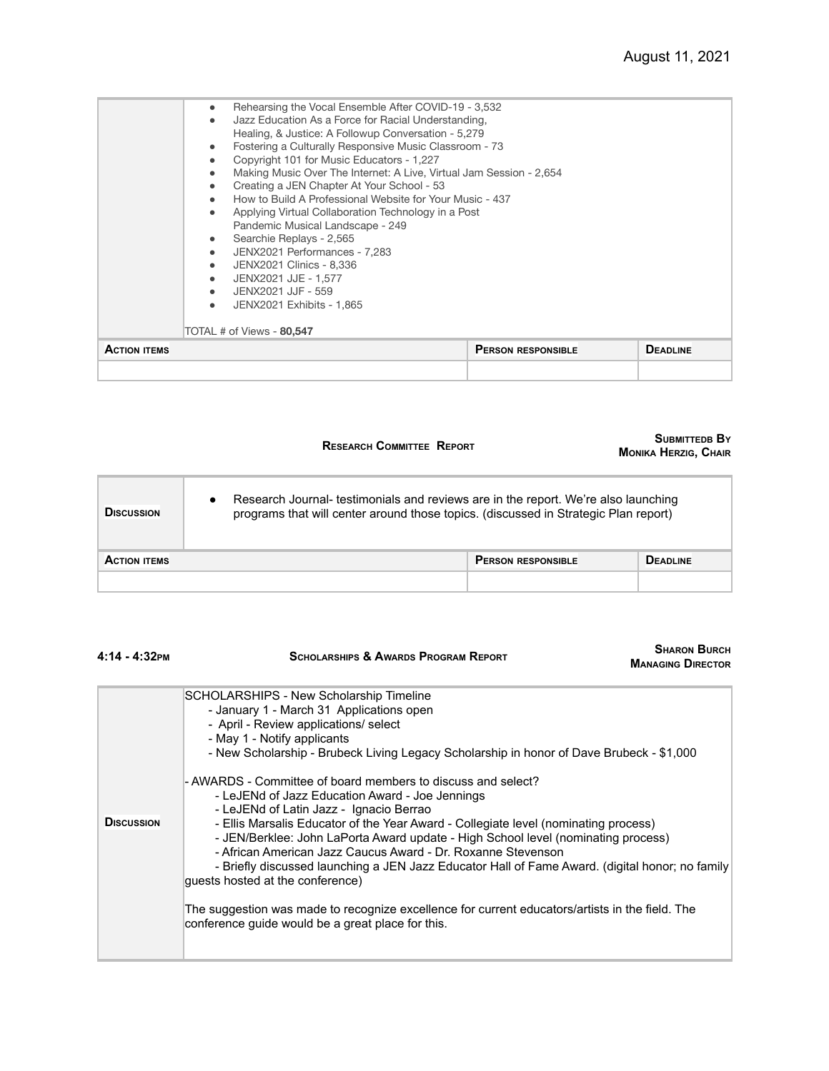| Rehearsing the Vocal Ensemble After COVID-19 - 3,532<br>$\bullet$<br>Jazz Education As a Force for Racial Understanding,<br>Healing, & Justice: A Followup Conversation - 5,279<br>Fostering a Culturally Responsive Music Classroom - 73<br>Copyright 101 for Music Educators - 1,227<br>Making Music Over The Internet: A Live, Virtual Jam Session - 2,654<br>$\bullet$<br>Creating a JEN Chapter At Your School - 53<br>How to Build A Professional Website for Your Music - 437<br>Applying Virtual Collaboration Technology in a Post<br>Pandemic Musical Landscape - 249<br>Searchie Replays - 2,565<br>JENX2021 Performances - 7,283<br>$\bullet$<br>JENX2021 Clinics - 8,336<br>$\bullet$<br>JENX2021 JJE - 1,577<br>JENX2021 JJF - 559<br>JENX2021 Exhibits - 1,865<br>$\bullet$<br>TOTAL # of Views - 80,547 |                           |                 |
|-------------------------------------------------------------------------------------------------------------------------------------------------------------------------------------------------------------------------------------------------------------------------------------------------------------------------------------------------------------------------------------------------------------------------------------------------------------------------------------------------------------------------------------------------------------------------------------------------------------------------------------------------------------------------------------------------------------------------------------------------------------------------------------------------------------------------|---------------------------|-----------------|
| <b>ACTION ITEMS</b>                                                                                                                                                                                                                                                                                                                                                                                                                                                                                                                                                                                                                                                                                                                                                                                                     | <b>PERSON RESPONSIBLE</b> | <b>DEADLINE</b> |

#### **RESEARCH COMMITTEE REPORT**

#### **SUBMITTEDB B<sup>Y</sup> MONIKA HERZIG, CHAIR**

| <b>DISCUSSION</b>   | Research Journal- testimonials and reviews are in the report. We're also launching<br>$\bullet$<br>programs that will center around those topics. (discussed in Strategic Plan report) |                           |                 |
|---------------------|----------------------------------------------------------------------------------------------------------------------------------------------------------------------------------------|---------------------------|-----------------|
| <b>ACTION ITEMS</b> |                                                                                                                                                                                        | <b>PERSON RESPONSIBLE</b> | <b>DEADLINE</b> |
|                     |                                                                                                                                                                                        |                           |                 |

| 4:14 - 4:32 РМ    | <b>SHARON BURCH</b><br><b>SCHOLARSHIPS &amp; AWARDS PROGRAM REPORT</b><br><b>MANAGING DIRECTOR</b>                                                                                                                                                                                                                                                                                                                                                                                                                                                                                                                                                                                                                                                                                                                                                                                                                                                               |
|-------------------|------------------------------------------------------------------------------------------------------------------------------------------------------------------------------------------------------------------------------------------------------------------------------------------------------------------------------------------------------------------------------------------------------------------------------------------------------------------------------------------------------------------------------------------------------------------------------------------------------------------------------------------------------------------------------------------------------------------------------------------------------------------------------------------------------------------------------------------------------------------------------------------------------------------------------------------------------------------|
| <b>DISCUSSION</b> | SCHOLARSHIPS - New Scholarship Timeline<br>- January 1 - March 31 Applications open<br>- April - Review applications/ select<br>- May 1 - Notify applicants<br>- New Scholarship - Brubeck Living Legacy Scholarship in honor of Dave Brubeck - \$1,000<br>- AWARDS - Committee of board members to discuss and select?<br>- LeJENd of Jazz Education Award - Joe Jennings<br>- LeJENd of Latin Jazz - Ignacio Berrao<br>- Ellis Marsalis Educator of the Year Award - Collegiate level (nominating process)<br>- JEN/Berklee: John LaPorta Award update - High School level (nominating process)<br>- African American Jazz Caucus Award - Dr. Roxanne Stevenson<br>- Briefly discussed launching a JEN Jazz Educator Hall of Fame Award. (digital honor; no family<br>quests hosted at the conference)<br>The suggestion was made to recognize excellence for current educators/artists in the field. The<br>conference guide would be a great place for this. |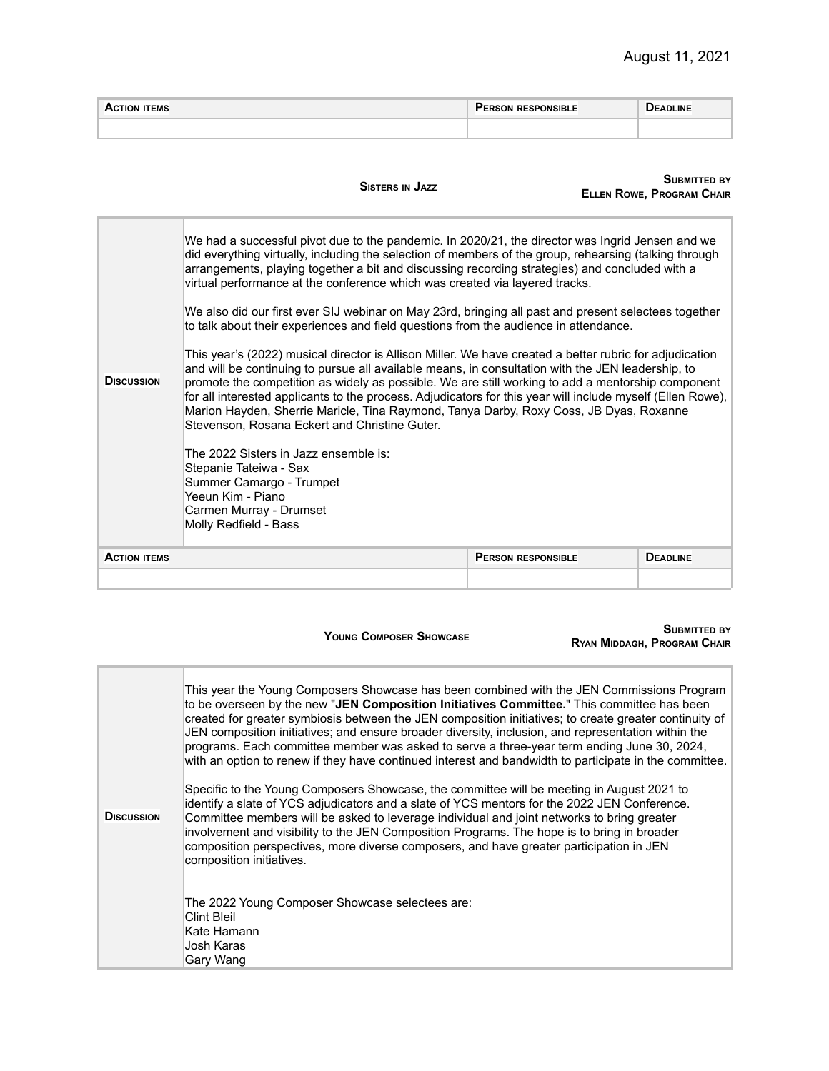| -MS | <br>∟∟םורי | . .<br><b>DEADLINE</b> |
|-----|------------|------------------------|
|     |            |                        |

|                                                                                                                                                                      | <b>SISTERS IN JAZZ</b>                                                                                                                                                                                                                                                                                                                                                                                                                                                                                                                                                     |                           | <b>SUBMITTED BY</b><br><b>ELLEN ROWE, PROGRAM CHAIR</b> |
|----------------------------------------------------------------------------------------------------------------------------------------------------------------------|----------------------------------------------------------------------------------------------------------------------------------------------------------------------------------------------------------------------------------------------------------------------------------------------------------------------------------------------------------------------------------------------------------------------------------------------------------------------------------------------------------------------------------------------------------------------------|---------------------------|---------------------------------------------------------|
|                                                                                                                                                                      | We had a successful pivot due to the pandemic. In 2020/21, the director was Ingrid Jensen and we<br>did everything virtually, including the selection of members of the group, rehearsing (talking through<br>arrangements, playing together a bit and discussing recording strategies) and concluded with a<br>virtual performance at the conference which was created via layered tracks.                                                                                                                                                                                |                           |                                                         |
|                                                                                                                                                                      | We also did our first ever SIJ webinar on May 23rd, bringing all past and present selectees together<br>to talk about their experiences and field questions from the audience in attendance.                                                                                                                                                                                                                                                                                                                                                                               |                           |                                                         |
| <b>DISCUSSION</b>                                                                                                                                                    | This year's (2022) musical director is Allison Miller. We have created a better rubric for adjudication<br>and will be continuing to pursue all available means, in consultation with the JEN leadership, to<br>promote the competition as widely as possible. We are still working to add a mentorship component<br>for all interested applicants to the process. Adjudicators for this year will include myself (Ellen Rowe),<br>Marion Hayden, Sherrie Maricle, Tina Raymond, Tanya Darby, Roxy Coss, JB Dyas, Roxanne<br>Stevenson, Rosana Eckert and Christine Guter. |                           |                                                         |
| The 2022 Sisters in Jazz ensemble is:<br>Stepanie Tateiwa - Sax<br>Summer Camargo - Trumpet<br>Yeeun Kim - Piano<br>Carmen Murray - Drumset<br>Molly Redfield - Bass |                                                                                                                                                                                                                                                                                                                                                                                                                                                                                                                                                                            |                           |                                                         |
| <b>ACTION ITEMS</b>                                                                                                                                                  |                                                                                                                                                                                                                                                                                                                                                                                                                                                                                                                                                                            | <b>PERSON RESPONSIBLE</b> | <b>DEADLINE</b>                                         |
|                                                                                                                                                                      |                                                                                                                                                                                                                                                                                                                                                                                                                                                                                                                                                                            |                           |                                                         |

**YOUNG COMPOSER SHOWCASE**

#### **SUBMITTED BY RYAN MIDDAGH, PROGRAM CHAIR**

| <b>DISCUSSION</b> | This year the Young Composers Showcase has been combined with the JEN Commissions Program<br>to be overseen by the new "JEN Composition Initiatives Committee." This committee has been<br>created for greater symbiosis between the JEN composition initiatives; to create greater continuity of<br>JEN composition initiatives; and ensure broader diversity, inclusion, and representation within the<br>programs. Each committee member was asked to serve a three-year term ending June 30, 2024,<br>with an option to renew if they have continued interest and bandwidth to participate in the committee. |
|-------------------|------------------------------------------------------------------------------------------------------------------------------------------------------------------------------------------------------------------------------------------------------------------------------------------------------------------------------------------------------------------------------------------------------------------------------------------------------------------------------------------------------------------------------------------------------------------------------------------------------------------|
|                   | Specific to the Young Composers Showcase, the committee will be meeting in August 2021 to<br>identify a slate of YCS adjudicators and a slate of YCS mentors for the 2022 JEN Conference.<br>Committee members will be asked to leverage individual and joint networks to bring greater<br>involvement and visibility to the JEN Composition Programs. The hope is to bring in broader<br>composition perspectives, more diverse composers, and have greater participation in JEN<br>composition initiatives.                                                                                                    |
|                   | The 2022 Young Composer Showcase selectees are:<br>Clint Bleil<br>Kate Hamann<br>Josh Karas<br>Gary Wang                                                                                                                                                                                                                                                                                                                                                                                                                                                                                                         |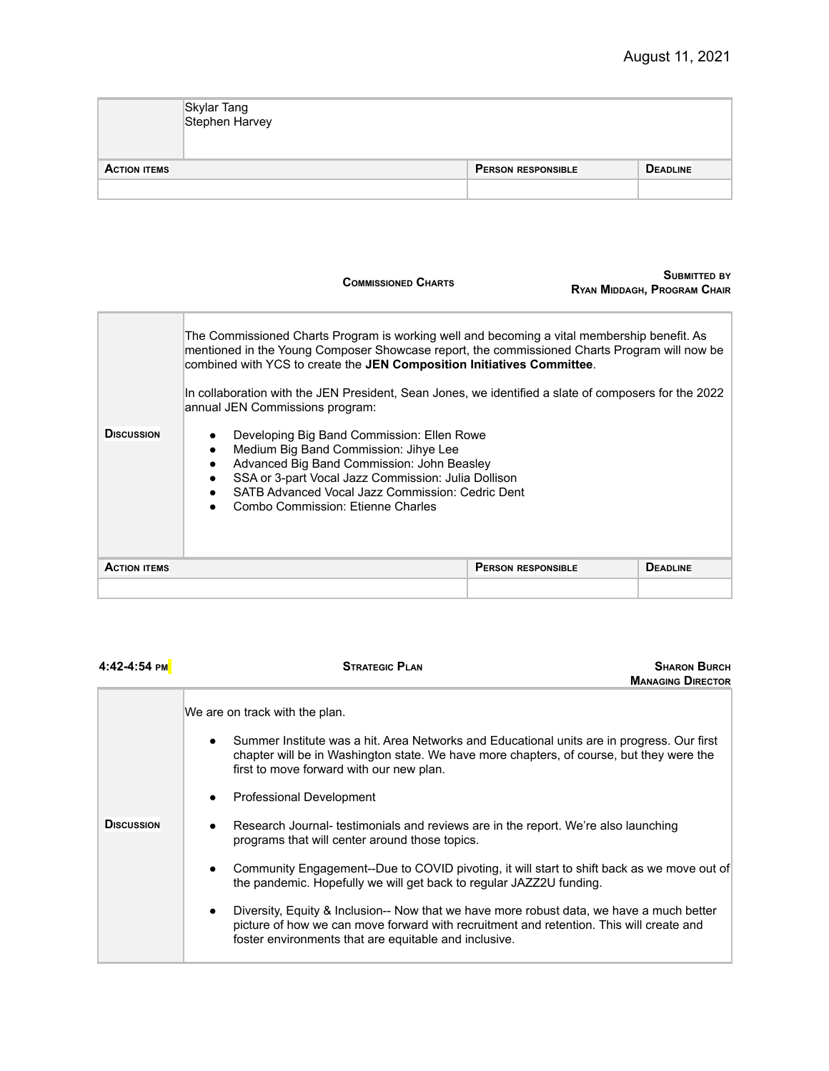|                     | Skylar Tang<br>Stephen Harvey |                           |                 |
|---------------------|-------------------------------|---------------------------|-----------------|
| <b>ACTION ITEMS</b> |                               | <b>PERSON RESPONSIBLE</b> | <b>DEADLINE</b> |
|                     |                               |                           |                 |

|                                                                                                                                                                                                                                                                       | <b>COMMISSIONED CHARTS</b>                                                                                                                                                                                                                                                                     |                           | SUBMITTED BY<br>RYAN MIDDAGH, PROGRAM CHAIR |
|-----------------------------------------------------------------------------------------------------------------------------------------------------------------------------------------------------------------------------------------------------------------------|------------------------------------------------------------------------------------------------------------------------------------------------------------------------------------------------------------------------------------------------------------------------------------------------|---------------------------|---------------------------------------------|
| The Commissioned Charts Program is working well and becoming a vital membership benefit. As<br>mentioned in the Young Composer Showcase report, the commissioned Charts Program will now be<br>combined with YCS to create the JEN Composition Initiatives Committee. |                                                                                                                                                                                                                                                                                                |                           |                                             |
|                                                                                                                                                                                                                                                                       | In collaboration with the JEN President, Sean Jones, we identified a slate of composers for the 2022<br>annual JEN Commissions program:                                                                                                                                                        |                           |                                             |
| <b>DISCUSSION</b>                                                                                                                                                                                                                                                     | Developing Big Band Commission: Ellen Rowe<br>Medium Big Band Commission: Jihye Lee<br>$\bullet$<br>Advanced Big Band Commission: John Beasley<br>SSA or 3-part Vocal Jazz Commission: Julia Dollison<br>SATB Advanced Vocal Jazz Commission: Cedric Dent<br>Combo Commission: Etienne Charles |                           |                                             |
| <b>ACTION ITEMS</b>                                                                                                                                                                                                                                                   |                                                                                                                                                                                                                                                                                                | <b>PERSON RESPONSIBLE</b> | <b>DEADLINE</b>                             |
|                                                                                                                                                                                                                                                                       |                                                                                                                                                                                                                                                                                                |                           |                                             |

| 4:42-4:54 PM      | <b>STRATEGIC PLAN</b><br><b>SHARON BURCH</b><br><b>MANAGING DIRECTOR</b>                                                                                                                                                                          |
|-------------------|---------------------------------------------------------------------------------------------------------------------------------------------------------------------------------------------------------------------------------------------------|
|                   | We are on track with the plan.                                                                                                                                                                                                                    |
|                   | Summer Institute was a hit. Area Networks and Educational units are in progress. Our first<br>$\bullet$<br>chapter will be in Washington state. We have more chapters, of course, but they were the<br>first to move forward with our new plan.   |
|                   | Professional Development<br>$\bullet$                                                                                                                                                                                                             |
| <b>DISCUSSION</b> | Research Journal- testimonials and reviews are in the report. We're also launching<br>$\bullet$<br>programs that will center around those topics.                                                                                                 |
|                   | Community Engagement--Due to COVID pivoting, it will start to shift back as we move out of<br>$\bullet$<br>the pandemic. Hopefully we will get back to regular JAZZ2U funding.                                                                    |
|                   | Diversity, Equity & Inclusion-- Now that we have more robust data, we have a much better<br>٠<br>picture of how we can move forward with recruitment and retention. This will create and<br>foster environments that are equitable and inclusive. |